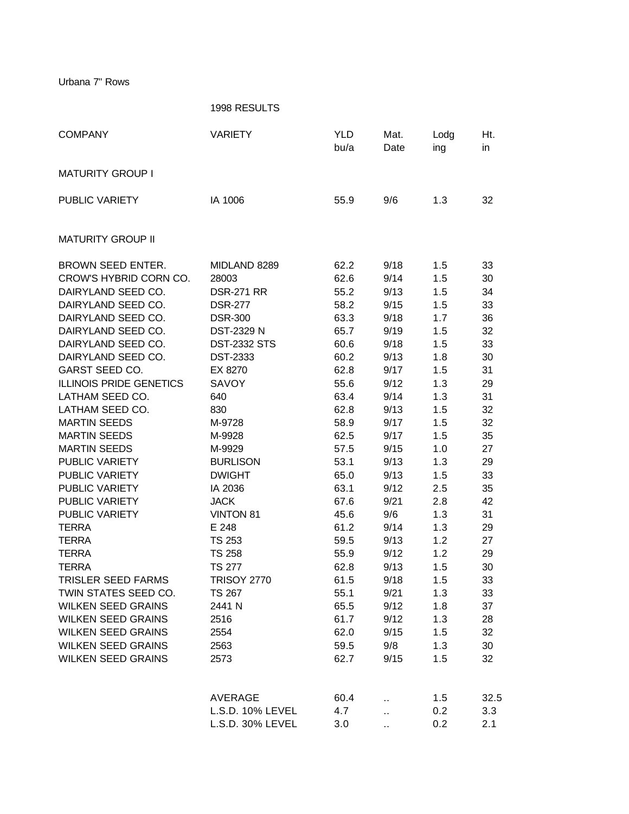Urbana 7" Rows

1998 RESULTS COMPANY **VARIETY** YLD Mat. Lodg Ht. bu/a Date ing in MATURITY GROUP I PUBLIC VARIETY IA 1006 55.9 9/6 1.3 32 MATURITY GROUP II BROWN SEED ENTER. MIDLAND 8289 62.2 9/18 1.5 33 CROW'S HYBRID CORN CO. 28003 62.6 9/14 1.5 30 DAIRYLAND SEED CO. BSR-271 RR 55.2 9/13 1.5 34 DAIRYLAND SEED CO. BSR-277 58.2 9/15 1.5 33 DAIRYLAND SEED CO. DSR-300 63.3 9/18 1.7 36 DAIRYLAND SEED CO. DST-2329 N 65.7 9/19 1.5 32 DAIRYLAND SEED CO. [2332 STS 60.6 9/18 1.5 33 DAIRYLAND SEED CO. DST-2333 60.2 9/13 1.8 30 GARST SEED CO. EX 8270 62.8 9/17 1.5 31 ILLINOIS PRIDE GENETICS SAVOY 55.6 9/12 1.3 29 LATHAM SEED CO. 640 63.4 9/14 1.3 31 LATHAM SEED CO. 830 62.8 9/13 1.5 32 MARTIN SEEDS M-9728 58.9 9/17 1.5 32 MARTIN SEEDS M-9928 62.5 9/17 1.5 35 MARTIN SEEDS M-9929 57.5 9/15 1.0 27 PUBLIC VARIETY **BURLISON** 53.1 9/13 1.3 29 PUBLIC VARIETY **DWIGHT** 65.0 9/13 1.5 33 PUBLIC VARIETY IA 2036 63.1 9/12 2.5 35 PUBLIC VARIETY JACK 67.6 9/21 2.8 42 PUBLIC VARIETY VINTON 81 45.6 9/6 1.3 31 TERRA E 248 61.2 9/14 1.3 29 TERRA TS 253 59.5 9/13 1.2 27 TERRA TS 258 55.9 9/12 1.2 29 TERRA TS 277 62.8 9/13 1.5 30 TRISLER SEED FARMS TRISOY 2770 61.5 9/18 1.5 33 TWIN STATES SEED CO. TS 267 55.1 9/21 1.3 33 WILKEN SEED GRAINS 2441 N 65.5 9/12 1.8 37 WILKEN SEED GRAINS 2516 61.7 9/12 1.3 28 WILKEN SEED GRAINS 2554 62.0 9/15 1.5 32 WILKEN SEED GRAINS 2563 59.5 9/8 1.3 30 WILKEN SEED GRAINS 2573 62.7 9/15 1.5 32 AVERAGE 60.4 .. 1.5 32.5 L.S.D. 10% LEVEL 4.7 ... 0.2 3.3 L.S.D. 30% LEVEL 3.0 .. 0.2 2.1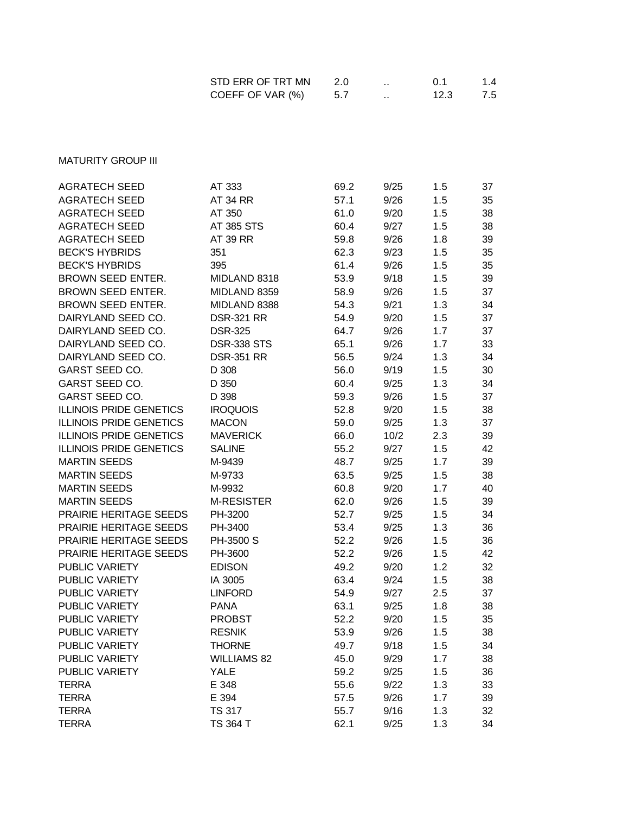| STD ERR OF TRT MN | 2.0 | 0.1  | 1.4 |
|-------------------|-----|------|-----|
| COEFF OF VAR (%)  | 5.7 | 12.3 | 7.5 |

**MATURITY GROUP III** 

| <b>AGRATECH SEED</b>           | AT 333             | 69.2 | 9/25 | 1.5 | 37 |
|--------------------------------|--------------------|------|------|-----|----|
| <b>AGRATECH SEED</b>           | <b>AT 34 RR</b>    | 57.1 | 9/26 | 1.5 | 35 |
| <b>AGRATECH SEED</b>           | AT 350             | 61.0 | 9/20 |     | 38 |
| <b>AGRATECH SEED</b>           | AT 385 STS         |      |      | 1.5 |    |
|                                |                    | 60.4 | 9/27 | 1.5 | 38 |
| <b>AGRATECH SEED</b>           | AT 39 RR           | 59.8 | 9/26 | 1.8 | 39 |
| <b>BECK'S HYBRIDS</b>          | 351                | 62.3 | 9/23 | 1.5 | 35 |
| <b>BECK'S HYBRIDS</b>          | 395                | 61.4 | 9/26 | 1.5 | 35 |
| <b>BROWN SEED ENTER.</b>       | MIDLAND 8318       | 53.9 | 9/18 | 1.5 | 39 |
| <b>BROWN SEED ENTER.</b>       | MIDLAND 8359       | 58.9 | 9/26 | 1.5 | 37 |
| <b>BROWN SEED ENTER.</b>       | MIDLAND 8388       | 54.3 | 9/21 | 1.3 | 34 |
| DAIRYLAND SEED CO.             | <b>DSR-321 RR</b>  | 54.9 | 9/20 | 1.5 | 37 |
| DAIRYLAND SEED CO.             | <b>DSR-325</b>     | 64.7 | 9/26 | 1.7 | 37 |
| DAIRYLAND SEED CO.             | <b>DSR-338 STS</b> | 65.1 | 9/26 | 1.7 | 33 |
| DAIRYLAND SEED CO.             | <b>DSR-351 RR</b>  | 56.5 | 9/24 | 1.3 | 34 |
| <b>GARST SEED CO.</b>          | D 308              | 56.0 | 9/19 | 1.5 | 30 |
| GARST SEED CO.                 | D 350              | 60.4 | 9/25 | 1.3 | 34 |
| <b>GARST SEED CO.</b>          | D 398              | 59.3 | 9/26 | 1.5 | 37 |
| <b>ILLINOIS PRIDE GENETICS</b> | <b>IROQUOIS</b>    | 52.8 | 9/20 | 1.5 | 38 |
| <b>ILLINOIS PRIDE GENETICS</b> | <b>MACON</b>       | 59.0 | 9/25 | 1.3 | 37 |
| <b>ILLINOIS PRIDE GENETICS</b> | <b>MAVERICK</b>    | 66.0 | 10/2 | 2.3 | 39 |
| <b>ILLINOIS PRIDE GENETICS</b> | <b>SALINE</b>      | 55.2 | 9/27 | 1.5 | 42 |
| <b>MARTIN SEEDS</b>            | M-9439             | 48.7 | 9/25 | 1.7 | 39 |
| <b>MARTIN SEEDS</b>            | M-9733             | 63.5 | 9/25 | 1.5 | 38 |
| <b>MARTIN SEEDS</b>            | M-9932             | 60.8 | 9/20 | 1.7 | 40 |
| <b>MARTIN SEEDS</b>            | <b>M-RESISTER</b>  | 62.0 | 9/26 | 1.5 | 39 |
| PRAIRIE HERITAGE SEEDS         | PH-3200            | 52.7 | 9/25 | 1.5 | 34 |
| PRAIRIE HERITAGE SEEDS         | PH-3400            | 53.4 | 9/25 | 1.3 | 36 |
| PRAIRIE HERITAGE SEEDS         | PH-3500 S          | 52.2 | 9/26 | 1.5 | 36 |
| PRAIRIE HERITAGE SEEDS         | PH-3600            | 52.2 | 9/26 | 1.5 | 42 |
| <b>PUBLIC VARIETY</b>          | <b>EDISON</b>      | 49.2 | 9/20 | 1.2 | 32 |
| <b>PUBLIC VARIETY</b>          | IA 3005            | 63.4 | 9/24 | 1.5 | 38 |
| PUBLIC VARIETY                 | <b>LINFORD</b>     | 54.9 | 9/27 | 2.5 | 37 |
| PUBLIC VARIETY                 | <b>PANA</b>        | 63.1 | 9/25 | 1.8 | 38 |
| PUBLIC VARIETY                 | <b>PROBST</b>      | 52.2 | 9/20 | 1.5 | 35 |
| <b>PUBLIC VARIETY</b>          | <b>RESNIK</b>      | 53.9 | 9/26 | 1.5 | 38 |
| PUBLIC VARIETY                 |                    |      | 9/18 |     |    |
| PUBLIC VARIETY                 | <b>THORNE</b>      | 49.7 |      | 1.5 | 34 |
|                                | <b>WILLIAMS 82</b> | 45.0 | 9/29 | 1.7 | 38 |
| PUBLIC VARIETY                 | <b>YALE</b>        | 59.2 | 9/25 | 1.5 | 36 |
| <b>TERRA</b>                   | E 348              | 55.6 | 9/22 | 1.3 | 33 |
| <b>TERRA</b>                   | E 394              | 57.5 | 9/26 | 1.7 | 39 |
| <b>TERRA</b>                   | <b>TS 317</b>      | 55.7 | 9/16 | 1.3 | 32 |
| <b>TERRA</b>                   | TS 364 T           | 62.1 | 9/25 | 1.3 | 34 |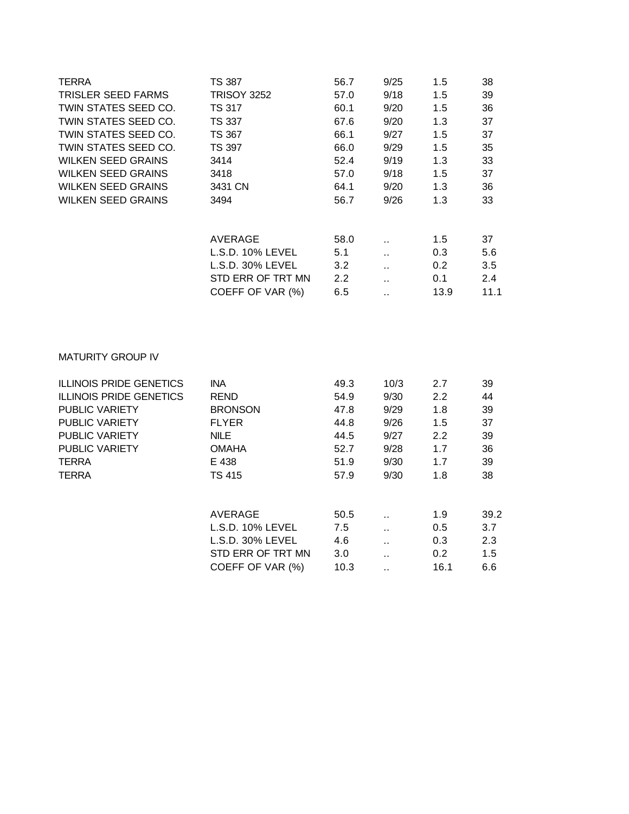| <b>TERRA</b><br><b>TRISLER SEED FARMS</b><br>TWIN STATES SEED CO.<br>TWIN STATES SEED CO.<br>TWIN STATES SEED CO.<br>TWIN STATES SEED CO.<br><b>WILKEN SEED GRAINS</b><br><b>WILKEN SEED GRAINS</b><br><b>WILKEN SEED GRAINS</b><br><b>WILKEN SEED GRAINS</b> | <b>TS 387</b><br><b>TRISOY 3252</b><br><b>TS 317</b><br><b>TS 337</b><br><b>TS 367</b><br><b>TS 397</b><br>3414<br>3418<br>3431 CN<br>3494 | 56.7<br>57.0<br>60.1<br>67.6<br>66.1<br>66.0<br>52.4<br>57.0<br>64.1<br>56.7 | 9/25<br>9/18<br>9/20<br>9/20<br>9/27<br>9/29<br>9/19<br>9/18<br>9/20<br>9/26 | 1.5<br>1.5<br>1.5<br>1.3<br>1.5<br>1.5<br>1.3<br>1.5<br>1.3<br>1.3 | 38<br>39<br>36<br>37<br>37<br>35<br>33<br>37<br>36<br>33 |
|---------------------------------------------------------------------------------------------------------------------------------------------------------------------------------------------------------------------------------------------------------------|--------------------------------------------------------------------------------------------------------------------------------------------|------------------------------------------------------------------------------|------------------------------------------------------------------------------|--------------------------------------------------------------------|----------------------------------------------------------|
|                                                                                                                                                                                                                                                               | <b>AVERAGE</b><br>L.S.D. 10% LEVEL<br>L.S.D. 30% LEVEL<br>STD ERR OF TRT MN<br>COEFF OF VAR (%)                                            | 58.0<br>5.1<br>3.2<br>2.2<br>6.5                                             | ä.<br>ò.<br>ä,<br>$\ddotsc$<br>ü.                                            | 1.5<br>0.3<br>0.2<br>0.1<br>13.9                                   | 37<br>5.6<br>3.5<br>2.4<br>11.1                          |
| <b>MATURITY GROUP IV</b>                                                                                                                                                                                                                                      |                                                                                                                                            |                                                                              |                                                                              |                                                                    |                                                          |
| <b>ILLINOIS PRIDE GENETICS</b>                                                                                                                                                                                                                                | <b>INA</b>                                                                                                                                 | 49.3                                                                         | 10/3                                                                         | 2.7                                                                | 39                                                       |
| <b>ILLINOIS PRIDE GENETICS</b>                                                                                                                                                                                                                                | <b>REND</b>                                                                                                                                | 54.9                                                                         | 9/30                                                                         | 2.2                                                                | 44                                                       |
| PUBLIC VARIETY                                                                                                                                                                                                                                                | <b>BRONSON</b>                                                                                                                             | 47.8                                                                         | 9/29                                                                         | 1.8                                                                | 39                                                       |
| PUBLIC VARIETY                                                                                                                                                                                                                                                | <b>FLYER</b>                                                                                                                               | 44.8                                                                         | 9/26                                                                         | 1.5                                                                | 37                                                       |
| <b>PUBLIC VARIETY</b>                                                                                                                                                                                                                                         | <b>NILE</b>                                                                                                                                | 44.5                                                                         | 9/27                                                                         | 2.2                                                                | 39                                                       |
| PUBLIC VARIETY                                                                                                                                                                                                                                                | <b>OMAHA</b>                                                                                                                               | 52.7                                                                         | 9/28                                                                         | 1.7                                                                | 36                                                       |
| <b>TERRA</b>                                                                                                                                                                                                                                                  | E 438                                                                                                                                      | 51.9                                                                         | 9/30                                                                         | 1.7                                                                | 39                                                       |
| <b>TERRA</b>                                                                                                                                                                                                                                                  | <b>TS 415</b>                                                                                                                              | 57.9                                                                         | 9/30                                                                         | 1.8                                                                | 38                                                       |
|                                                                                                                                                                                                                                                               | <b>AVERAGE</b>                                                                                                                             | 50.5                                                                         | à.                                                                           | 1.9                                                                | 39.2                                                     |
|                                                                                                                                                                                                                                                               | L.S.D. 10% LEVEL                                                                                                                           | 7.5                                                                          | ä.                                                                           | 0.5                                                                | 3.7                                                      |
|                                                                                                                                                                                                                                                               | L.S.D. 30% LEVEL                                                                                                                           | 4.6                                                                          | ä,                                                                           | 0.3                                                                | 2.3                                                      |
|                                                                                                                                                                                                                                                               | STD ERR OF TRT MN                                                                                                                          | 3.0                                                                          | ä.                                                                           | 0.2                                                                | 1.5                                                      |
|                                                                                                                                                                                                                                                               | COEFF OF VAR (%)                                                                                                                           | 10.3                                                                         | $\ddot{\phantom{1}}$                                                         | 16.1                                                               | 6.6                                                      |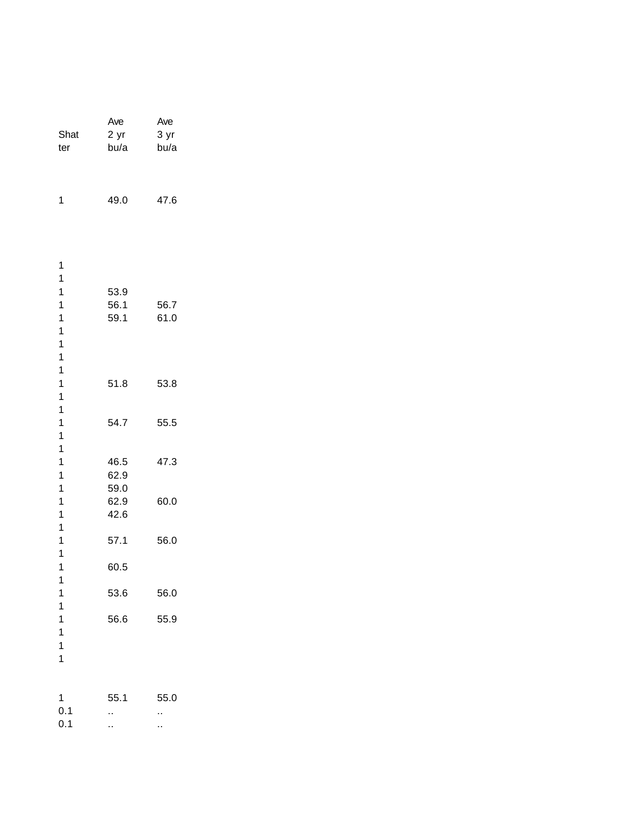| Shat<br>ter                                                                                                   | Ave<br>2 yr<br>bu/a          | Ave<br>3 yr<br>bu/a |
|---------------------------------------------------------------------------------------------------------------|------------------------------|---------------------|
| 1                                                                                                             | 49.0                         | 47.6                |
| 1<br>1<br>$\mathbf{1}$<br>$\mathbf{1}$<br>$\overline{\mathbf{1}}$                                             | 53.9<br>56.1<br>59.1         | 56.7<br>61.0        |
| $\overline{\mathbf{1}}$<br>$\mathbf{1}$<br>$\mathbf{1}$<br>$\mathbf{1}$<br>$\mathbf{1}$                       | 51.8                         | 53.8                |
| $\mathbf{1}$<br>$\mathbf{1}$<br>$\overline{\mathbf{1}}$<br>$\overline{\mathbf{1}}$<br>$\overline{\mathbf{1}}$ | 54.7                         | 55.5                |
| $\mathbf{1}$<br>$\mathbf{1}$<br>$\mathbf{1}$<br>1                                                             | 46.5<br>62.9<br>59.0<br>62.9 | 47.3<br>60.0        |
| 1<br>$\mathbf{1}$<br>1<br>$\mathbf{1}$<br>1                                                                   | 42.6<br>57.1<br>60.5         | 56.0                |
| 1<br>1<br>$\mathbf{1}$<br>$\overline{1}$                                                                      | 53.6<br>56.6                 | 56.0<br>55.9        |
| $\mathbf{1}$<br>$\mathbf{1}$<br>$\overline{1}$                                                                |                              |                     |
| 1<br>0.1<br>0.1                                                                                               | 55.1<br>٠.<br>٠.             | 55.0<br>.,<br>.,    |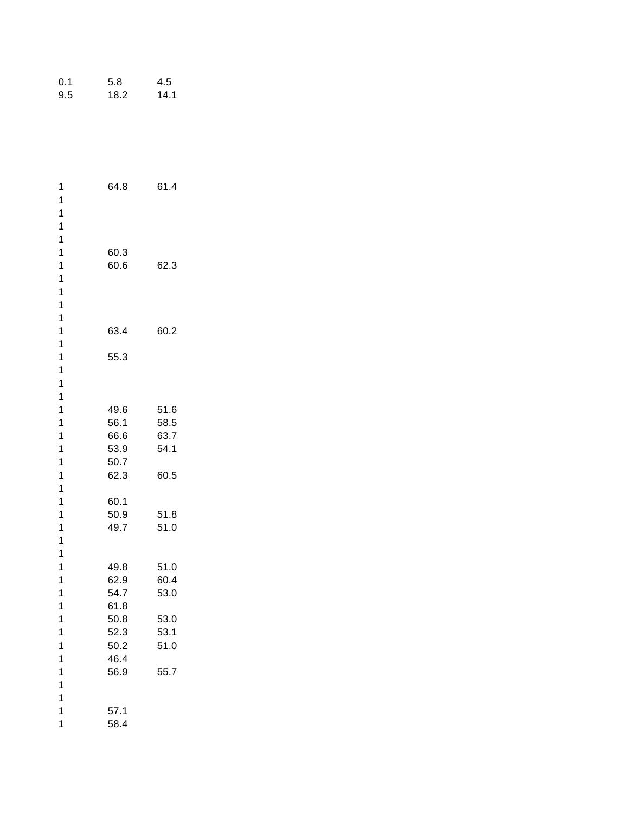| 1                                       | 64.8         | 61.4 |
|-----------------------------------------|--------------|------|
| 1                                       |              |      |
| $\mathbf{1}$                            |              |      |
| $\mathbf{1}$                            |              |      |
| $\mathbf{1}$                            |              |      |
| $\mathbf{1}$                            | 60.3         |      |
| $\mathbf{1}$                            | 60.6         | 62.3 |
| $\mathbf{1}$                            |              |      |
| $\overline{1}$                          |              |      |
| $\mathbf{1}$                            |              |      |
| $\mathbf{1}$                            |              |      |
| 1                                       | 63.4         | 60.2 |
| $\mathbf{1}$                            |              |      |
| 1                                       | 55.3         |      |
| 1                                       |              |      |
| $\overline{\mathbf{1}}$<br>$\mathbf{1}$ |              |      |
| 1                                       | 49.6         | 51.6 |
| 1                                       | 56.1         | 58.5 |
| $\mathbf{1}$                            | 66.6         | 63.7 |
| $\mathbf{1}$                            | 53.9         | 54.1 |
| 1                                       | 50.7         |      |
| 1                                       | 62.3         | 60.5 |
| $\mathbf{1}$                            |              |      |
| $\overline{1}$                          | 60.1         |      |
| 1                                       | 50.9         | 51.8 |
| $\mathbf{1}$                            | 49.7         | 51.0 |
| $\mathbf{1}$                            |              |      |
| $\mathbf{1}$                            |              |      |
| 1                                       | 49.8         | 51.0 |
| 1                                       | 62.9         | 60.4 |
| $\mathbf{1}$                            | 54.7         | 53.0 |
| $\overline{\mathbf{1}}$                 | 61.8         |      |
| $\mathbf{1}$                            | 50.8         | 53.0 |
| 1                                       | 52.3         | 53.1 |
| $\mathbf{1}$                            | 50.2         | 51.0 |
| $\mathbf{1}$                            | 46.4         |      |
| $\mathbf{1}$                            | 56.9         | 55.7 |
| 1<br>$\overline{1}$                     |              |      |
| $\mathbf{1}$                            |              |      |
| 1                                       | 57.1<br>58.4 |      |
|                                         |              |      |

0.1 5.8 4.5<br>9.5 18.2 14.1 18.2